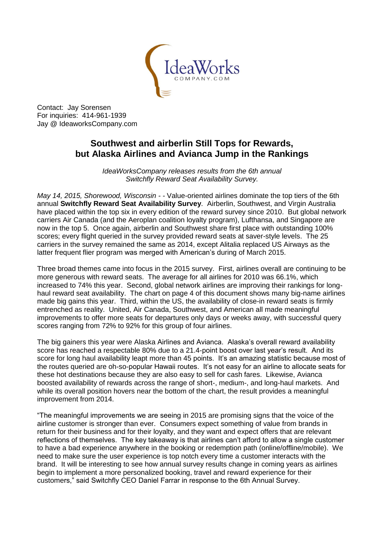

Contact: Jay Sorensen For inquiries: 414-961-1939 Jay @ IdeaworksCompany.com

# **Southwest and airberlin Still Tops for Rewards, but Alaska Airlines and Avianca Jump in the Rankings**

*IdeaWorksCompany releases results from the 6th annual Switchfly Reward Seat Availability Survey.*

*May 14, 2015, Shorewood, Wisconsin - -* Value-oriented airlines dominate the top tiers of the 6th annual **Switchfly Reward Seat Availability Survey**. Airberlin, Southwest, and Virgin Australia have placed within the top six in every edition of the reward survey since 2010. But global network carriers Air Canada (and the Aeroplan coalition loyalty program), Lufthansa, and Singapore are now in the top 5. Once again, airberlin and Southwest share first place with outstanding 100% scores; every flight queried in the survey provided reward seats at saver-style levels. The 25 carriers in the survey remained the same as 2014, except Alitalia replaced US Airways as the latter frequent flier program was merged with American's during of March 2015.

Three broad themes came into focus in the 2015 survey. First, airlines overall are continuing to be more generous with reward seats. The average for all airlines for 2010 was 66.1%, which increased to 74% this year. Second, global network airlines are improving their rankings for longhaul reward seat availability. The chart on page 4 of this document shows many big-name airlines made big gains this year. Third, within the US, the availability of close-in reward seats is firmly entrenched as reality. United, Air Canada, Southwest, and American all made meaningful improvements to offer more seats for departures only days or weeks away, with successful query scores ranging from 72% to 92% for this group of four airlines.

The big gainers this year were Alaska Airlines and Avianca. Alaska's overall reward availability score has reached a respectable 80% due to a 21.4-point boost over last year's result. And its score for long haul availability leapt more than 45 points. It's an amazing statistic because most of the routes queried are oh-so-popular Hawaii routes. It's not easy for an airline to allocate seats for these hot destinations because they are also easy to sell for cash fares. Likewise, Avianca boosted availability of rewards across the range of short-, medium-, and long-haul markets. And while its overall position hovers near the bottom of the chart, the result provides a meaningful improvement from 2014.

"The meaningful improvements we are seeing in 2015 are promising signs that the voice of the airline customer is stronger than ever. Consumers expect something of value from brands in return for their business and for their loyalty, and they want and expect offers that are relevant reflections of themselves. The key takeaway is that airlines can't afford to allow a single customer to have a bad experience anywhere in the booking or redemption path (online/offline/mobile). We need to make sure the user experience is top notch every time a customer interacts with the brand. It will be interesting to see how annual survey results change in coming years as airlines begin to implement a more personalized booking, travel and reward experience for their customers," said Switchfly CEO Daniel Farrar in response to the 6th Annual Survey.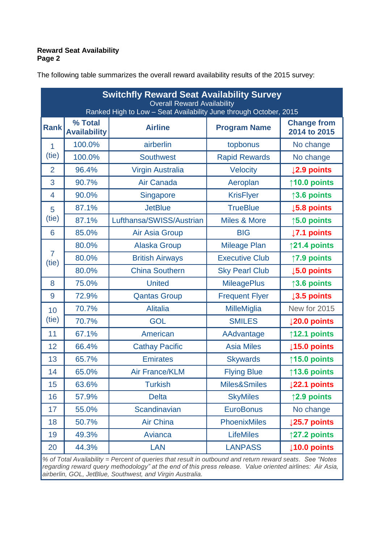## **Reward Seat Availability Page 2**

| <b>Switchfly Reward Seat Availability Survey</b><br><b>Overall Reward Availability</b><br>Ranked High to Low - Seat Availability June through October, 2015 |                                |                          |                         |                                    |  |  |  |
|-------------------------------------------------------------------------------------------------------------------------------------------------------------|--------------------------------|--------------------------|-------------------------|------------------------------------|--|--|--|
| <b>Rank</b>                                                                                                                                                 | % Total<br><b>Availability</b> | <b>Airline</b>           | <b>Program Name</b>     | <b>Change from</b><br>2014 to 2015 |  |  |  |
| 1<br>(tie)                                                                                                                                                  | 100.0%                         | airberlin                | topbonus                | No change                          |  |  |  |
|                                                                                                                                                             | 100.0%                         | <b>Southwest</b>         | <b>Rapid Rewards</b>    | No change                          |  |  |  |
| $\overline{2}$                                                                                                                                              | 96.4%                          | <b>Virgin Australia</b>  | <b>Velocity</b>         | ↓2.9 points                        |  |  |  |
| 3                                                                                                                                                           | 90.7%                          | Air Canada               | Aeroplan                | $\uparrow$ 10.0 points             |  |  |  |
| $\overline{4}$                                                                                                                                              | 90.0%                          | Singapore                | <b>KrisFlyer</b>        | $\uparrow$ 3.6 points              |  |  |  |
| 5<br>(tie)                                                                                                                                                  | 87.1%                          | <b>JetBlue</b>           | <b>TrueBlue</b>         | <b>↓5.8 points</b>                 |  |  |  |
|                                                                                                                                                             | 87.1%                          | Lufthansa/SWISS/Austrian | <b>Miles &amp; More</b> | $\uparrow$ 5.0 points              |  |  |  |
| 6                                                                                                                                                           | 85.0%                          | Air Asia Group           | <b>BIG</b>              | $\downarrow$ 7.1 points            |  |  |  |
|                                                                                                                                                             | 80.0%                          | <b>Alaska Group</b>      | <b>Mileage Plan</b>     | $\uparrow$ 21.4 points             |  |  |  |
| $\overline{7}$<br>(tie)                                                                                                                                     | 80.0%                          | <b>British Airways</b>   | <b>Executive Club</b>   | ↑7.9 points                        |  |  |  |
|                                                                                                                                                             | 80.0%                          | <b>China Southern</b>    | <b>Sky Pearl Club</b>   | $\downarrow$ 5.0 points            |  |  |  |
| 8                                                                                                                                                           | 75.0%                          | <b>United</b>            | <b>MileagePlus</b>      | $\uparrow$ 3.6 points              |  |  |  |
| 9                                                                                                                                                           | 72.9%                          | <b>Qantas Group</b>      | <b>Frequent Flyer</b>   | $\downarrow$ 3.5 points            |  |  |  |
| 10                                                                                                                                                          | 70.7%                          | <b>Alitalia</b>          | <b>MilleMiglia</b>      | New for 2015                       |  |  |  |
| (tie)                                                                                                                                                       | 70.7%                          | <b>GOL</b>               | <b>SMILES</b>           | $ 20.0 $ points                    |  |  |  |
| 11                                                                                                                                                          | 67.1%                          | American                 | AAdvantage              | $\uparrow$ 12.1 points             |  |  |  |
| 12                                                                                                                                                          | 66.4%                          | <b>Cathay Pacific</b>    | <b>Asia Miles</b>       | $\downarrow$ 15.0 points           |  |  |  |
| 13                                                                                                                                                          | 65.7%                          | <b>Emirates</b>          | <b>Skywards</b>         | $\uparrow$ 15.0 points             |  |  |  |
| 14                                                                                                                                                          | 65.0%                          | <b>Air France/KLM</b>    | <b>Flying Blue</b>      | $\uparrow$ 13.6 points             |  |  |  |
| 15                                                                                                                                                          | 63.6%                          | <b>Turkish</b>           | Miles&Smiles            | $ 22.1$ points                     |  |  |  |
| 16                                                                                                                                                          | 57.9%                          | <b>Delta</b>             | <b>SkyMiles</b>         | $\uparrow$ 2.9 points              |  |  |  |
| 17                                                                                                                                                          | 55.0%                          | <b>Scandinavian</b>      | <b>EuroBonus</b>        | No change                          |  |  |  |
| 18                                                                                                                                                          | 50.7%                          | <b>Air China</b>         | <b>PhoenixMiles</b>     | $\downarrow$ 25.7 points           |  |  |  |
| 19                                                                                                                                                          | 49.3%                          | Avianca                  | <b>LifeMiles</b>        | $\uparrow$ 27.2 points             |  |  |  |
| 20                                                                                                                                                          | 44.3%                          | <b>LAN</b>               | <b>LANPASS</b>          | $10.0$ points                      |  |  |  |

The following table summarizes the overall reward availability results of the 2015 survey:

*% of Total Availability = Percent of queries that result in outbound and return reward seats. See "Notes regarding reward query methodology" at the end of this press release. Value oriented airlines: Air Asia, airberlin, GOL, JetBlue, Southwest, and Virgin Australia.*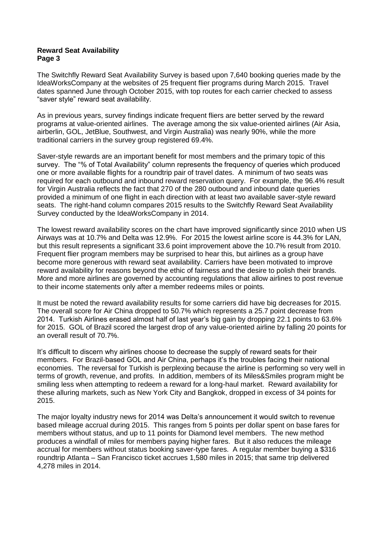#### **Reward Seat Availability Page 3**

The Switchfly Reward Seat Availability Survey is based upon 7,640 booking queries made by the IdeaWorksCompany at the websites of 25 frequent flier programs during March 2015. Travel dates spanned June through October 2015, with top routes for each carrier checked to assess "saver style" reward seat availability.

As in previous years, survey findings indicate frequent fliers are better served by the reward programs at value-oriented airlines. The average among the six value-oriented airlines (Air Asia, airberlin, GOL, JetBlue, Southwest, and Virgin Australia) was nearly 90%, while the more traditional carriers in the survey group registered 69.4%.

Saver-style rewards are an important benefit for most members and the primary topic of this survey. The "% of Total Availability" column represents the frequency of queries which produced one or more available flights for a roundtrip pair of travel dates. A minimum of two seats was required for each outbound and inbound reward reservation query. For example, the 96.4% result for Virgin Australia reflects the fact that 270 of the 280 outbound and inbound date queries provided a minimum of one flight in each direction with at least two available saver-style reward seats. The right-hand column compares 2015 results to the Switchfly Reward Seat Availability Survey conducted by the IdeaWorksCompany in 2014.

The lowest reward availability scores on the chart have improved significantly since 2010 when US Airways was at 10.7% and Delta was 12.9%. For 2015 the lowest airline score is 44.3% for LAN, but this result represents a significant 33.6 point improvement above the 10.7% result from 2010. Frequent flier program members may be surprised to hear this, but airlines as a group have become more generous with reward seat availability. Carriers have been motivated to improve reward availability for reasons beyond the ethic of fairness and the desire to polish their brands. More and more airlines are governed by accounting regulations that allow airlines to post revenue to their income statements only after a member redeems miles or points.

It must be noted the reward availability results for some carriers did have big decreases for 2015. The overall score for Air China dropped to 50.7% which represents a 25.7 point decrease from 2014. Turkish Airlines erased almost half of last year's big gain by dropping 22.1 points to 63.6% for 2015. GOL of Brazil scored the largest drop of any value-oriented airline by falling 20 points for an overall result of 70.7%.

It's difficult to discern why airlines choose to decrease the supply of reward seats for their members. For Brazil-based GOL and Air China, perhaps it's the troubles facing their national economies. The reversal for Turkish is perplexing because the airline is performing so very well in terms of growth, revenue, and profits. In addition, members of its Miles&Smiles program might be smiling less when attempting to redeem a reward for a long-haul market. Reward availability for these alluring markets, such as New York City and Bangkok, dropped in excess of 34 points for 2015.

The major loyalty industry news for 2014 was Delta's announcement it would switch to revenue based mileage accrual during 2015. This ranges from 5 points per dollar spent on base fares for members without status, and up to 11 points for Diamond level members. The new method produces a windfall of miles for members paying higher fares. But it also reduces the mileage accrual for members without status booking saver-type fares. A regular member buying a \$316 roundtrip Atlanta – San Francisco ticket accrues 1,580 miles in 2015; that same trip delivered 4,278 miles in 2014.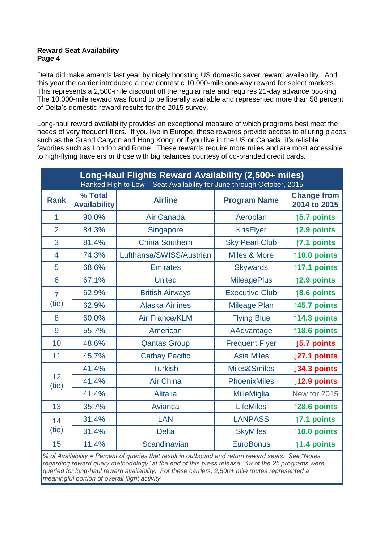### **Reward Seat Availability Page 4**

Delta did make amends last year by nicely boosting US domestic saver reward availability. And this year the carrier introduced a new domestic 10,000-mile one-way reward for select markets. This represents a 2,500-mile discount off the regular rate and requires 21-day advance booking. The 10,000-mile reward was found to be liberally available and represented more than 58 percent of Delta's domestic reward results for the 2015 survey.

Long-haul reward availability provides an exceptional measure of which programs best meet the needs of very frequent fliers. If you live in Europe, these rewards provide access to alluring places such as the Grand Canyon and Hong Kong; or if you live in the US or Canada, it's reliable favorites such as London and Rome. These rewards require more miles and are most accessible to high-flying travelers or those with big balances courtesy of co-branded credit cards.

| Long-Haul Flights Reward Availability (2,500+ miles)<br>Ranked High to Low - Seat Availability for June through October, 2015 |                                |                          |                         |                                    |  |  |
|-------------------------------------------------------------------------------------------------------------------------------|--------------------------------|--------------------------|-------------------------|------------------------------------|--|--|
| <b>Rank</b>                                                                                                                   | % Total<br><b>Availability</b> | <b>Airline</b>           | <b>Program Name</b>     | <b>Change from</b><br>2014 to 2015 |  |  |
| 1                                                                                                                             | 90.0%                          | Air Canada               | Aeroplan                | $\uparrow$ 5.7 points              |  |  |
| $\overline{2}$                                                                                                                | 84.3%                          | Singapore                | <b>KrisFlyer</b>        | ↑2.9 points                        |  |  |
| 3                                                                                                                             | 81.4%                          | <b>China Southern</b>    | <b>Sky Pearl Club</b>   | ↑7.1 points                        |  |  |
| 4                                                                                                                             | 74.3%                          | Lufthansa/SWISS/Austrian | <b>Miles &amp; More</b> | $\uparrow$ 10.0 points             |  |  |
| 5                                                                                                                             | 68.6%                          | <b>Emirates</b>          | <b>Skywards</b>         | ↑17.1 points                       |  |  |
| 6                                                                                                                             | 67.1%                          | <b>United</b>            | <b>MileagePlus</b>      | ↑2.9 points                        |  |  |
| $\overline{7}$                                                                                                                | 62.9%                          | <b>British Airways</b>   | <b>Executive Club</b>   | $\uparrow$ 8.6 points              |  |  |
| (tie)                                                                                                                         | 62.9%                          | <b>Alaska Airlines</b>   | <b>Mileage Plan</b>     | $\uparrow$ 45.7 points             |  |  |
| 8                                                                                                                             | 60.0%                          | <b>Air France/KLM</b>    | <b>Flying Blue</b>      | ↑14.3 points                       |  |  |
| 9                                                                                                                             | 55.7%                          | American                 | AAdvantage              | $\uparrow$ 18.6 points             |  |  |
| 10                                                                                                                            | 48.6%                          | <b>Qantas Group</b>      | <b>Frequent Flyer</b>   | $\downarrow$ 5.7 points            |  |  |
| 11                                                                                                                            | 45.7%                          | <b>Cathay Pacific</b>    | <b>Asia Miles</b>       | 127.1 points                       |  |  |
|                                                                                                                               | 41.4%                          | <b>Turkish</b>           | Miles&Smiles            | <b>J34.3 points</b>                |  |  |
| 12<br>(tie)                                                                                                                   | 41.4%                          | <b>Air China</b>         | <b>PhoenixMiles</b>     | $\downarrow$ 12.9 points           |  |  |
|                                                                                                                               | 41.4%                          | <b>Alitalia</b>          | <b>MilleMiglia</b>      | New for 2015                       |  |  |
| 13                                                                                                                            | 35.7%                          | Avianca                  | <b>LifeMiles</b>        | $\uparrow$ 28.6 points             |  |  |
| 14<br>(tie)                                                                                                                   | 31.4%                          | <b>LAN</b>               | <b>LANPASS</b>          | $\uparrow$ 7.1 points              |  |  |
|                                                                                                                               | 31.4%                          | <b>Delta</b>             | <b>SkyMiles</b>         | $\uparrow$ 10.0 points             |  |  |
| 15                                                                                                                            | 11.4%                          | Scandinavian             | <b>EuroBonus</b>        | $\uparrow$ 1.4 points              |  |  |

*% of Availability = Percent of queries that result in outbound and return reward seats. See "Notes regarding reward query methodology" at the end of this press release. 19 of the 25 programs were queried for long-haul reward availability. For these carriers, 2,500+ mile routes represented a meaningful portion of overall flight activity.*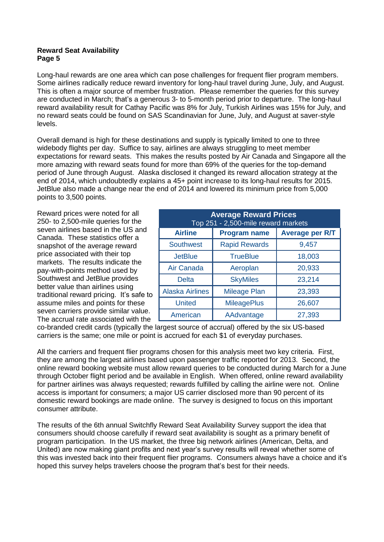#### **Reward Seat Availability Page 5**

Long-haul rewards are one area which can pose challenges for frequent flier program members. Some airlines radically reduce reward inventory for long-haul travel during June, July, and August. This is often a major source of member frustration. Please remember the queries for this survey are conducted in March; that's a generous 3- to 5-month period prior to departure. The long-haul reward availability result for Cathay Pacific was 8% for July, Turkish Airlines was 15% for July, and no reward seats could be found on SAS Scandinavian for June, July, and August at saver-style levels.

Overall demand is high for these destinations and supply is typically limited to one to three widebody flights per day. Suffice to say, airlines are always struggling to meet member expectations for reward seats. This makes the results posted by Air Canada and Singapore all the more amazing with reward seats found for more than 69% of the queries for the top-demand period of June through August. Alaska disclosed it changed its reward allocation strategy at the end of 2014, which undoubtedly explains a 45+ point increase to its long-haul results for 2015. JetBlue also made a change near the end of 2014 and lowered its minimum price from 5,000 points to 3,500 points.

Reward prices were noted for all 250- to 2,500-mile queries for the seven airlines based in the US and Canada. These statistics offer a snapshot of the average reward price associated with their top markets. The results indicate the pay-with-points method used by Southwest and JetBlue provides better value than airlines using traditional reward pricing. It's safe to assume miles and points for these seven carriers provide similar value. The accrual rate associated with the

| <b>Average Reward Prices</b><br>Top 251 - 2,500-mile reward markets |                      |                        |  |  |  |  |  |
|---------------------------------------------------------------------|----------------------|------------------------|--|--|--|--|--|
| <b>Airline</b>                                                      | <b>Program name</b>  | <b>Average per R/T</b> |  |  |  |  |  |
| <b>Southwest</b>                                                    | <b>Rapid Rewards</b> | 9,457                  |  |  |  |  |  |
| <b>JetBlue</b>                                                      | <b>TrueBlue</b>      | 18,003                 |  |  |  |  |  |
| Air Canada                                                          | Aeroplan             | 20,933                 |  |  |  |  |  |
| <b>Delta</b>                                                        | <b>SkyMiles</b>      | 23,214                 |  |  |  |  |  |
| <b>Alaska Airlines</b>                                              | <b>Mileage Plan</b>  | 23,393                 |  |  |  |  |  |
| <b>United</b>                                                       | <b>MileagePlus</b>   | 26,607                 |  |  |  |  |  |
| American                                                            | AAdvantage           | 27,393                 |  |  |  |  |  |

co-branded credit cards (typically the largest source of accrual) offered by the six US-based carriers is the same; one mile or point is accrued for each \$1 of everyday purchases.

All the carriers and frequent flier programs chosen for this analysis meet two key criteria. First, they are among the largest airlines based upon passenger traffic reported for 2013. Second, the online reward booking website must allow reward queries to be conducted during March for a June through October flight period and be available in English. When offered, online reward availability for partner airlines was always requested; rewards fulfilled by calling the airline were not. Online access is important for consumers; a major US carrier disclosed more than 90 percent of its domestic reward bookings are made online. The survey is designed to focus on this important consumer attribute.

The results of the 6th annual Switchfly Reward Seat Availability Survey support the idea that consumers should choose carefully if reward seat availability is sought as a primary benefit of program participation. In the US market, the three big network airlines (American, Delta, and United) are now making giant profits and next year's survey results will reveal whether some of this was invested back into their frequent flier programs. Consumers always have a choice and it's hoped this survey helps travelers choose the program that's best for their needs.